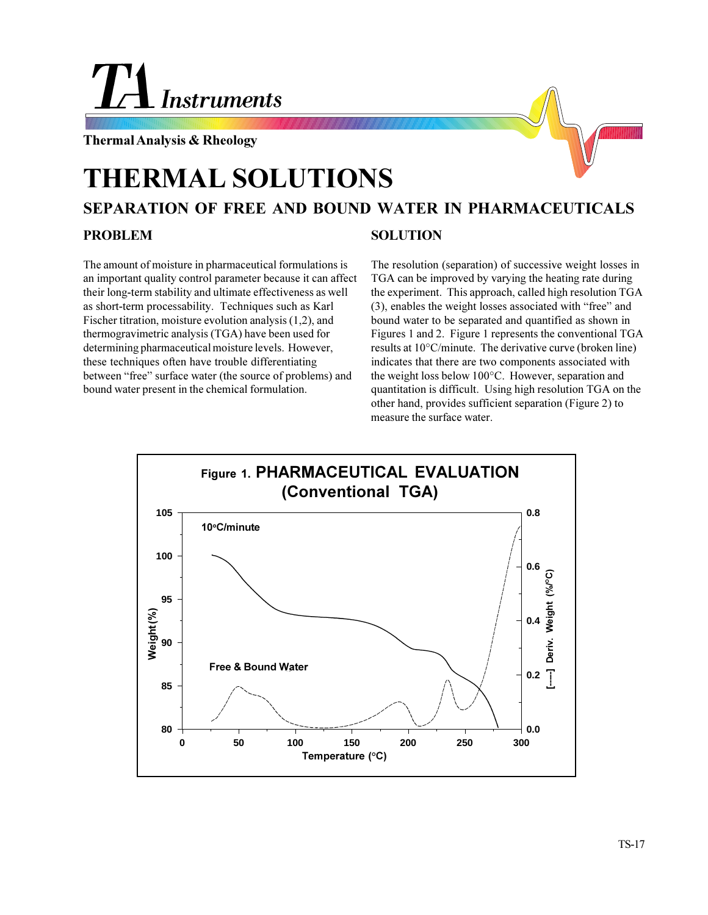

**Thermal Analysis & Rheology**

# **THERMAL SOLUTIONS**

## **SEPARATION OF FREE AND BOUND WATER IN PHARMACEUTICALS**

#### **PROBLEM**

### **SOLUTION**

The amount of moisture in pharmaceutical formulations is an important quality control parameter because it can affect their long-term stability and ultimate effectiveness as well as short-term processability. Techniques such as Karl Fischer titration, moisture evolution analysis (1,2), and thermogravimetric analysis (TGA) have been used for determining pharmaceutical moisture levels. However, these techniques often have trouble differentiating between "free" surface water (the source of problems) and bound water present in the chemical formulation.

The resolution (separation) of successive weight losses in TGA can be improved by varying the heating rate during the experiment. This approach, called high resolution TGA  $(3)$ , enables the weight losses associated with "free" and bound water to be separated and quantified as shown in Figures 1 and 2. Figure 1 represents the conventional TGA results at 10°C/minute. The derivative curve (broken line) indicates that there are two components associated with the weight loss below 100°C. However, separation and quantitation is difficult. Using high resolution TGA on the other hand, provides sufficient separation (Figure 2) to measure the surface water.